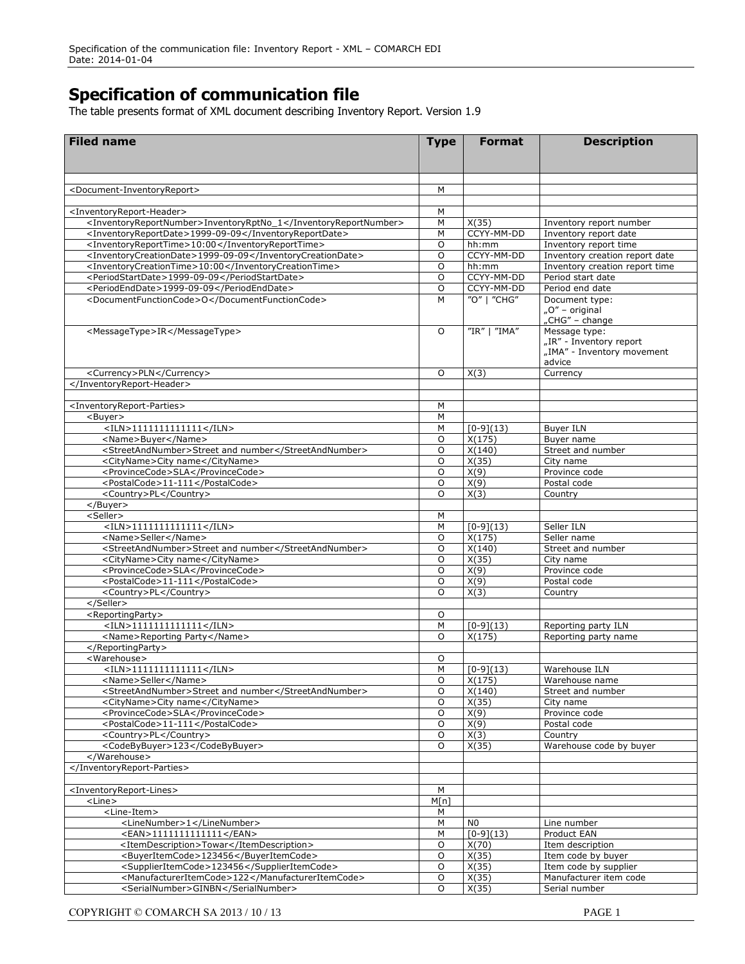## **Specification of communication file**

The table presents format of XML document describing Inventory Report. Version 1.9

| <b>Filed name</b>                                                                                                 | <b>Type</b> | <b>Format</b>       | <b>Description</b>                                                               |
|-------------------------------------------------------------------------------------------------------------------|-------------|---------------------|----------------------------------------------------------------------------------|
|                                                                                                                   |             |                     |                                                                                  |
| <document-inventoryreport></document-inventoryreport>                                                             | M           |                     |                                                                                  |
|                                                                                                                   |             |                     |                                                                                  |
| <inventoryreport-header></inventoryreport-header>                                                                 | М           |                     |                                                                                  |
| <inventoryreportnumber>InventoryRptNo_1</inventoryreportnumber>                                                   | М           | X(35)               | Inventory report number                                                          |
| <inventoryreportdate>1999-09-09</inventoryreportdate>                                                             | M           | CCYY-MM-DD          | Inventory report date                                                            |
| <inventoryreporttime>10:00</inventoryreporttime>                                                                  | $\circ$     | hh:mm               | Inventory report time                                                            |
| <inventorycreationdate>1999-09-09</inventorycreationdate><br><inventorycreationtime>10:00</inventorycreationtime> | O<br>O      | CCYY-MM-DD<br>hh:mm | Inventory creation report date<br>Inventory creation report time                 |
| <periodstartdate>1999-09-09</periodstartdate>                                                                     | O           | CCYY-MM-DD          | Period start date                                                                |
| <periodenddate>1999-09-09</periodenddate>                                                                         | O           | CCYY-MM-DD          | Period end date                                                                  |
| <documentfunctioncode>O</documentfunctioncode>                                                                    | M           | "O"   "CHG"         | Document type:<br>"O" – original<br>"CHG" - change                               |
| <messagetype>IR</messagetype>                                                                                     | $\circ$     | "IR"   "IMA"        | Message type:<br>"IR" - Inventory report<br>"IMA" - Inventory movement<br>advice |
| <currency>PLN</currency>                                                                                          | $\circ$     | X(3)                | Currency                                                                         |
|                                                                                                                   |             |                     |                                                                                  |
|                                                                                                                   |             |                     |                                                                                  |
| <inventoryreport-parties></inventoryreport-parties>                                                               | М           |                     |                                                                                  |
| <buyer><br/><math>&lt;</math>ILN&gt;11111111111111</buyer>                                                        | M<br>M      | $[0-9](13)$         | <b>Buyer ILN</b>                                                                 |
| <name>Buyer</name>                                                                                                | O           | X(175)              | Buyer name                                                                       |
| <streetandnumber>Street and number</streetandnumber>                                                              | $\circ$     | X(140)              | Street and number                                                                |
| <cityname>City name</cityname>                                                                                    | O           | X(35)               | City name                                                                        |
| <provincecode>SLA</provincecode>                                                                                  | $\circ$     | X(9)                | Province code                                                                    |
| <postalcode>11-111</postalcode>                                                                                   | O           | X(9)                | Postal code                                                                      |
| <country>PL</country>                                                                                             | $\Omega$    | X(3)                | Country                                                                          |
|                                                                                                                   |             |                     |                                                                                  |
| <seller><br/><math>&lt;</math>ILN&gt;1111111111111</seller>                                                       | М<br>M      | $[0-9](13)$         | Seller ILN                                                                       |
| <name>Seller</name>                                                                                               | O           | X(175)              | Seller name                                                                      |
| <streetandnumber>Street and number</streetandnumber>                                                              | O           | X(140)              | Street and number                                                                |
| <cityname>City name</cityname>                                                                                    | $\circ$     | X(35)               | City name                                                                        |
| <provincecode>SLA</provincecode>                                                                                  | O           | X(9)                | Province code                                                                    |
| <postalcode>11-111</postalcode>                                                                                   | O           | X(9)                | Postal code                                                                      |
| <country>PL</country>                                                                                             | $\circ$     | X(3)                | Country                                                                          |
| <br><reportingparty></reportingparty>                                                                             |             |                     |                                                                                  |
| $<$ ILN>11111111111111                                                                                            | O<br>M      | $[0-9](13)$         | Reporting party ILN                                                              |
| <name>Reporting Party</name>                                                                                      | $\circ$     | X(175)              | Reporting party name                                                             |
|                                                                                                                   |             |                     |                                                                                  |
| <warehouse></warehouse>                                                                                           | O           |                     |                                                                                  |
| $<$ ILN>1111111111111                                                                                             | M           | $[0-9](13)$         | Warehouse ILN                                                                    |
| <name>Seller</name>                                                                                               | 0           | X(175)              | Warehouse name                                                                   |
| <streetandnumber>Street and number</streetandnumber>                                                              | O           | X(140)              | Street and number                                                                |
| <cityname>City name</cityname>                                                                                    | O<br>O      | X(35)<br>X(9)       | City name<br>Province code                                                       |
| <provincecode>SLA</provincecode><br><postalcode>11-111</postalcode>                                               | O           | X(9)                | Postal code                                                                      |
| <country>PL</country>                                                                                             | O           | X(3)                | Country                                                                          |
| <codebybuyer>123</codebybuyer>                                                                                    | O           | X(35)               | Warehouse code by buyer                                                          |
|                                                                                                                   |             |                     |                                                                                  |
|                                                                                                                   |             |                     |                                                                                  |
|                                                                                                                   |             |                     |                                                                                  |
| <inventoryreport-lines></inventoryreport-lines>                                                                   | М           |                     |                                                                                  |
| <line><br/><line-item></line-item></line>                                                                         | M[n]<br>М   |                     |                                                                                  |
| <linenumber>1</linenumber>                                                                                        | М           | N <sub>0</sub>      | Line number                                                                      |
| <ean>1111111111111</ean>                                                                                          | M           | $[0-9](13)$         | Product EAN                                                                      |
| <itemdescription>Towar</itemdescription>                                                                          | O           | X(70)               | Item description                                                                 |
| <buyeritemcode>123456</buyeritemcode>                                                                             | O           | X(35)               | Item code by buyer                                                               |
| <supplieritemcode>123456</supplieritemcode>                                                                       | O           | X(35)               | Item code by supplier                                                            |
| <manufactureritemcode>122</manufactureritemcode>                                                                  | O           | X(35)               | Manufacturer item code                                                           |
| <serialnumber>GINBN</serialnumber>                                                                                | O           | X(35)               | Serial number                                                                    |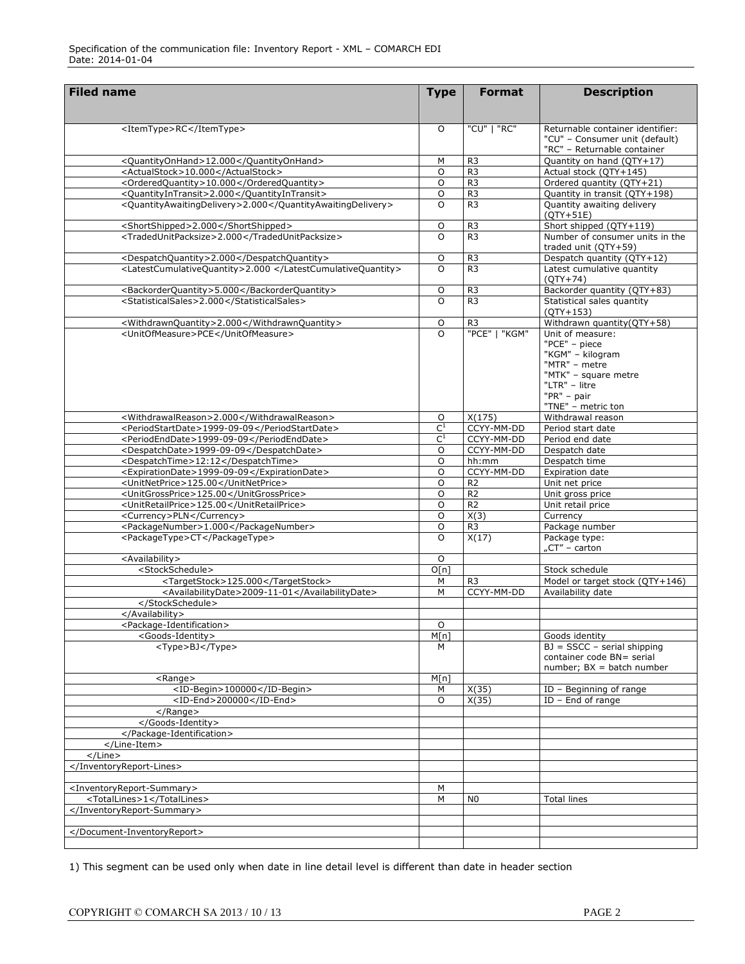| <b>Filed name</b>                                           | <b>Type</b>      | <b>Format</b>  | <b>Description</b>                                                                                |
|-------------------------------------------------------------|------------------|----------------|---------------------------------------------------------------------------------------------------|
|                                                             |                  |                |                                                                                                   |
| <itemtype>RC</itemtype>                                     | O                | "CU"   "RC"    | Returnable container identifier:<br>"CU" - Consumer unit (default)<br>"RC" - Returnable container |
| <quantityonhand>12.000</quantityonhand>                     | M                | R <sub>3</sub> | Quantity on hand (QTY+17)                                                                         |
| <actualstock>10.000</actualstock>                           | $\circ$          | R <sub>3</sub> | Actual stock (QTY+145)                                                                            |
| <orderedquantity>10.000</orderedquantity>                   | O                | R <sub>3</sub> | Ordered quantity (QTY+21)                                                                         |
| <quantityintransit>2.000</quantityintransit>                | O                | R <sub>3</sub> | Quantity in transit (QTY+198)                                                                     |
| <quantityawaitingdelivery>2.000</quantityawaitingdelivery>  | O                | R <sub>3</sub> | Quantity awaiting delivery                                                                        |
|                                                             |                  |                | $(QTY+51E)$                                                                                       |
| <shortshipped>2.000</shortshipped>                          | O                | R <sub>3</sub> | Short shipped (QTY+119)                                                                           |
| <tradedunitpacksize>2.000</tradedunitpacksize>              | O                | R <sub>3</sub> | Number of consumer units in the                                                                   |
|                                                             |                  |                | traded unit (QTY+59)                                                                              |
| <despatchquantity>2.000</despatchquantity>                  | O                | R <sub>3</sub> | Despatch quantity (QTY+12)                                                                        |
| <latestcumulativequantity>2.000 </latestcumulativequantity> | $\Omega$         | R <sub>3</sub> | Latest cumulative quantity                                                                        |
|                                                             |                  |                | $(QTY+74)$                                                                                        |
| <backorderquantity>5.000</backorderquantity>                | $\circ$          | R <sub>3</sub> | Backorder quantity (QTY+83)                                                                       |
| <statisticalsales>2.000</statisticalsales>                  | $\Omega$         | R <sub>3</sub> | Statistical sales quantity                                                                        |
|                                                             |                  |                | $(QTY+153)$                                                                                       |
| <withdrawnquantity>2.000</withdrawnquantity>                | O                | R <sub>3</sub> | Withdrawn quantity(QTY+58)                                                                        |
| <unitofmeasure>PCE</unitofmeasure>                          | $\Omega$         | "PCE"   "KGM"  | Unit of measure:                                                                                  |
|                                                             |                  |                | "PCE" - piece<br>"KGM" - kilogram                                                                 |
|                                                             |                  |                | "MTR" - metre                                                                                     |
|                                                             |                  |                | "MTK" - square metre                                                                              |
|                                                             |                  |                | "LTR" - litre                                                                                     |
|                                                             |                  |                | $"PR" - pair$                                                                                     |
|                                                             |                  |                | "TNE" - metric ton                                                                                |
| <withdrawalreason>2.000</withdrawalreason>                  | $\circ$          | X(175)         | Withdrawal reason                                                                                 |
| <periodstartdate>1999-09-09</periodstartdate>               | $\overline{C^1}$ | CCYY-MM-DD     | Period start date                                                                                 |
| <periodenddate>1999-09-09</periodenddate>                   | $\mathsf{C}^1$   | CCYY-MM-DD     | Period end date                                                                                   |
| <despatchdate>1999-09-09</despatchdate>                     | O                | CCYY-MM-DD     | Despatch date                                                                                     |
| <despatchtime>12:12</despatchtime>                          | O                | hh:mm          | Despatch time                                                                                     |
| <expirationdate>1999-09-09</expirationdate>                 | O                | CCYY-MM-DD     | Expiration date                                                                                   |
| <unitnetprice>125.00</unitnetprice>                         | O                | R <sub>2</sub> | Unit net price                                                                                    |
| <unitgrossprice>125.00</unitgrossprice>                     | O                | R <sub>2</sub> | Unit gross price                                                                                  |
| <unitretailprice>125.00</unitretailprice>                   | O                | R <sub>2</sub> | Unit retail price                                                                                 |
| <currency>PLN</currency>                                    | O                | X(3)           | Currency                                                                                          |
| <packagenumber>1.000</packagenumber>                        | O                | R <sub>3</sub> | Package number                                                                                    |
| <packagetype>CT</packagetype>                               | O                | X(17)          | Package type:                                                                                     |
|                                                             |                  |                | "CT" - carton                                                                                     |
| <availability></availability>                               | O                |                |                                                                                                   |
| <stockschedule></stockschedule>                             | O[n]             |                | Stock schedule                                                                                    |
| <targetstock>125.000</targetstock>                          | М                | R <sub>3</sub> | Model or target stock (QTY+146)                                                                   |
| <availabilitydate>2009-11-01</availabilitydate><br>         | M                | CCYY-MM-DD     | Availability date                                                                                 |
|                                                             |                  |                |                                                                                                   |
| <package-identification></package-identification>           | O                |                |                                                                                                   |
| <goods-identity></goods-identity>                           | M[n]             |                | Goods identity                                                                                    |
| <type>BJ</type>                                             | M                |                | $BJ = SSCC - serial shipping$                                                                     |
|                                                             |                  |                | container code BN= serial                                                                         |
|                                                             |                  |                | $number$ ; $BX = batch number$                                                                    |
| <range></range>                                             | M[n]             |                |                                                                                                   |
| <id-begin>100000</id-begin>                                 | М                | X(35)          | ID - Beginning of range                                                                           |
| <id-end>200000</id-end>                                     | O                | X(35)          | $ID$ – End of range                                                                               |
| $<$ /Range $>$                                              |                  |                |                                                                                                   |
|                                                             |                  |                |                                                                                                   |
|                                                             |                  |                |                                                                                                   |
|                                                             |                  |                |                                                                                                   |
| $<$ /Line>                                                  |                  |                |                                                                                                   |
|                                                             |                  |                |                                                                                                   |
|                                                             |                  |                |                                                                                                   |
| <inventoryreport-summary></inventoryreport-summary>         | M                |                |                                                                                                   |
| <totallines>1</totallines>                                  | M                | N0             | Total lines                                                                                       |
|                                                             |                  |                |                                                                                                   |
|                                                             |                  |                |                                                                                                   |
|                                                             |                  |                |                                                                                                   |
|                                                             |                  |                |                                                                                                   |

1) This segment can be used only when date in line detail level is different than date in header section